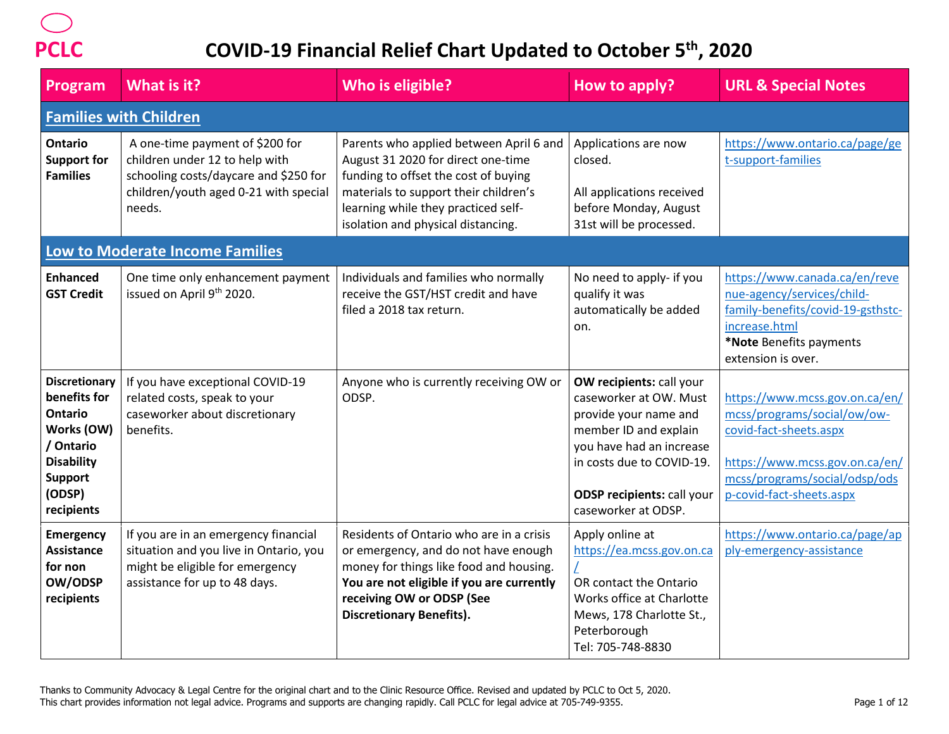

| Program                                                                                                                                          | What is it?                                                                                                                                                   | Who is eligible?                                                                                                                                                                                                                            | How to apply?                                                                                                                                                                                                             | <b>URL &amp; Special Notes</b>                                                                                                                                                         |
|--------------------------------------------------------------------------------------------------------------------------------------------------|---------------------------------------------------------------------------------------------------------------------------------------------------------------|---------------------------------------------------------------------------------------------------------------------------------------------------------------------------------------------------------------------------------------------|---------------------------------------------------------------------------------------------------------------------------------------------------------------------------------------------------------------------------|----------------------------------------------------------------------------------------------------------------------------------------------------------------------------------------|
|                                                                                                                                                  | <b>Families with Children</b>                                                                                                                                 |                                                                                                                                                                                                                                             |                                                                                                                                                                                                                           |                                                                                                                                                                                        |
| <b>Ontario</b><br><b>Support for</b><br><b>Families</b>                                                                                          | A one-time payment of \$200 for<br>children under 12 to help with<br>schooling costs/daycare and \$250 for<br>children/youth aged 0-21 with special<br>needs. | Parents who applied between April 6 and<br>August 31 2020 for direct one-time<br>funding to offset the cost of buying<br>materials to support their children's<br>learning while they practiced self-<br>isolation and physical distancing. | Applications are now<br>closed.<br>All applications received<br>before Monday, August<br>31st will be processed.                                                                                                          | https://www.ontario.ca/page/ge<br>t-support-families                                                                                                                                   |
| Low to Moderate Income Families                                                                                                                  |                                                                                                                                                               |                                                                                                                                                                                                                                             |                                                                                                                                                                                                                           |                                                                                                                                                                                        |
| <b>Enhanced</b><br><b>GST Credit</b>                                                                                                             | One time only enhancement payment<br>issued on April 9th 2020.                                                                                                | Individuals and families who normally<br>receive the GST/HST credit and have<br>filed a 2018 tax return.                                                                                                                                    | No need to apply- if you<br>qualify it was<br>automatically be added<br>on.                                                                                                                                               | https://www.canada.ca/en/reve<br>nue-agency/services/child-<br>family-benefits/covid-19-gsthstc-<br>increase.html<br>*Note Benefits payments<br>extension is over.                     |
| <b>Discretionary</b><br>benefits for<br><b>Ontario</b><br>Works (OW)<br>/ Ontario<br><b>Disability</b><br><b>Support</b><br>(ODSP)<br>recipients | If you have exceptional COVID-19<br>related costs, speak to your<br>caseworker about discretionary<br>benefits.                                               | Anyone who is currently receiving OW or<br>ODSP.                                                                                                                                                                                            | OW recipients: call your<br>caseworker at OW. Must<br>provide your name and<br>member ID and explain<br>you have had an increase<br>in costs due to COVID-19.<br><b>ODSP recipients: call your</b><br>caseworker at ODSP. | https://www.mcss.gov.on.ca/en/<br>mcss/programs/social/ow/ow-<br>covid-fact-sheets.aspx<br>https://www.mcss.gov.on.ca/en/<br>mcss/programs/social/odsp/ods<br>p-covid-fact-sheets.aspx |
| <b>Emergency</b><br><b>Assistance</b><br>for non<br>OW/ODSP<br>recipients                                                                        | If you are in an emergency financial<br>situation and you live in Ontario, you<br>might be eligible for emergency<br>assistance for up to 48 days.            | Residents of Ontario who are in a crisis<br>or emergency, and do not have enough<br>money for things like food and housing.<br>You are not eligible if you are currently<br>receiving OW or ODSP (See<br><b>Discretionary Benefits).</b>    | Apply online at<br>https://ea.mcss.gov.on.ca<br>OR contact the Ontario<br>Works office at Charlotte<br>Mews, 178 Charlotte St.,<br>Peterborough<br>Tel: 705-748-8830                                                      | https://www.ontario.ca/page/ap<br>ply-emergency-assistance                                                                                                                             |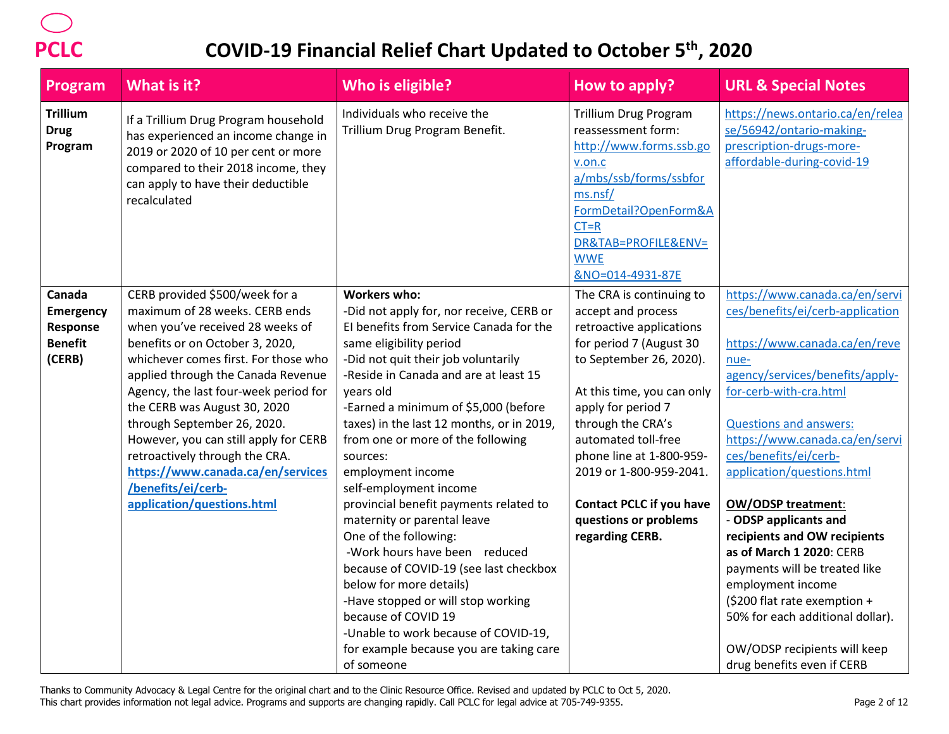

| Program                                                            | What is it?                                                                                                                                                                                                                                                                                                                                                                                                                                                                                       | Who is eligible?                                                                                                                                                                                                                                                                                                                                                                                                                                                                                                                                                                                                                                                                                                                                                                              | How to apply?                                                                                                                                                                                                                                                                                                                                                          | <b>URL &amp; Special Notes</b>                                                                                                                                                                                                                                                                                                                                                                                                                                                                                                                                                                               |
|--------------------------------------------------------------------|---------------------------------------------------------------------------------------------------------------------------------------------------------------------------------------------------------------------------------------------------------------------------------------------------------------------------------------------------------------------------------------------------------------------------------------------------------------------------------------------------|-----------------------------------------------------------------------------------------------------------------------------------------------------------------------------------------------------------------------------------------------------------------------------------------------------------------------------------------------------------------------------------------------------------------------------------------------------------------------------------------------------------------------------------------------------------------------------------------------------------------------------------------------------------------------------------------------------------------------------------------------------------------------------------------------|------------------------------------------------------------------------------------------------------------------------------------------------------------------------------------------------------------------------------------------------------------------------------------------------------------------------------------------------------------------------|--------------------------------------------------------------------------------------------------------------------------------------------------------------------------------------------------------------------------------------------------------------------------------------------------------------------------------------------------------------------------------------------------------------------------------------------------------------------------------------------------------------------------------------------------------------------------------------------------------------|
| <b>Trillium</b><br><b>Drug</b><br>Program                          | If a Trillium Drug Program household<br>has experienced an income change in<br>2019 or 2020 of 10 per cent or more<br>compared to their 2018 income, they<br>can apply to have their deductible<br>recalculated                                                                                                                                                                                                                                                                                   | Individuals who receive the<br>Trillium Drug Program Benefit.                                                                                                                                                                                                                                                                                                                                                                                                                                                                                                                                                                                                                                                                                                                                 | <b>Trillium Drug Program</b><br>reassessment form:<br>http://www.forms.ssb.go<br>v.on.c<br>a/mbs/ssb/forms/ssbfor<br>ms.nsf/<br>FormDetail?OpenForm&A<br>$CT=R$<br>DR&TAB=PROFILE&ENV=<br><b>WWE</b><br>&NO=014-4931-87E                                                                                                                                               | https://news.ontario.ca/en/relea<br>se/56942/ontario-making-<br>prescription-drugs-more-<br>affordable-during-covid-19                                                                                                                                                                                                                                                                                                                                                                                                                                                                                       |
| Canada<br><b>Emergency</b><br>Response<br><b>Benefit</b><br>(CERB) | CERB provided \$500/week for a<br>maximum of 28 weeks. CERB ends<br>when you've received 28 weeks of<br>benefits or on October 3, 2020,<br>whichever comes first. For those who<br>applied through the Canada Revenue<br>Agency, the last four-week period for<br>the CERB was August 30, 2020<br>through September 26, 2020.<br>However, you can still apply for CERB<br>retroactively through the CRA.<br>https://www.canada.ca/en/services<br>/benefits/ei/cerb-<br>application/questions.html | <b>Workers who:</b><br>-Did not apply for, nor receive, CERB or<br>El benefits from Service Canada for the<br>same eligibility period<br>-Did not quit their job voluntarily<br>-Reside in Canada and are at least 15<br>years old<br>-Earned a minimum of \$5,000 (before<br>taxes) in the last 12 months, or in 2019,<br>from one or more of the following<br>sources:<br>employment income<br>self-employment income<br>provincial benefit payments related to<br>maternity or parental leave<br>One of the following:<br>-Work hours have been reduced<br>because of COVID-19 (see last checkbox<br>below for more details)<br>-Have stopped or will stop working<br>because of COVID 19<br>-Unable to work because of COVID-19,<br>for example because you are taking care<br>of someone | The CRA is continuing to<br>accept and process<br>retroactive applications<br>for period 7 (August 30<br>to September 26, 2020).<br>At this time, you can only<br>apply for period 7<br>through the CRA's<br>automated toll-free<br>phone line at 1-800-959-<br>2019 or 1-800-959-2041.<br><b>Contact PCLC if you have</b><br>questions or problems<br>regarding CERB. | https://www.canada.ca/en/servi<br>ces/benefits/ei/cerb-application<br>https://www.canada.ca/en/reve<br>nue-<br>agency/services/benefits/apply-<br>for-cerb-with-cra.html<br><b>Questions and answers:</b><br>https://www.canada.ca/en/servi<br>ces/benefits/ei/cerb-<br>application/questions.html<br><b>OW/ODSP treatment:</b><br>- ODSP applicants and<br>recipients and OW recipients<br>as of March 1 2020: CERB<br>payments will be treated like<br>employment income<br>(\$200 flat rate exemption +<br>50% for each additional dollar).<br>OW/ODSP recipients will keep<br>drug benefits even if CERB |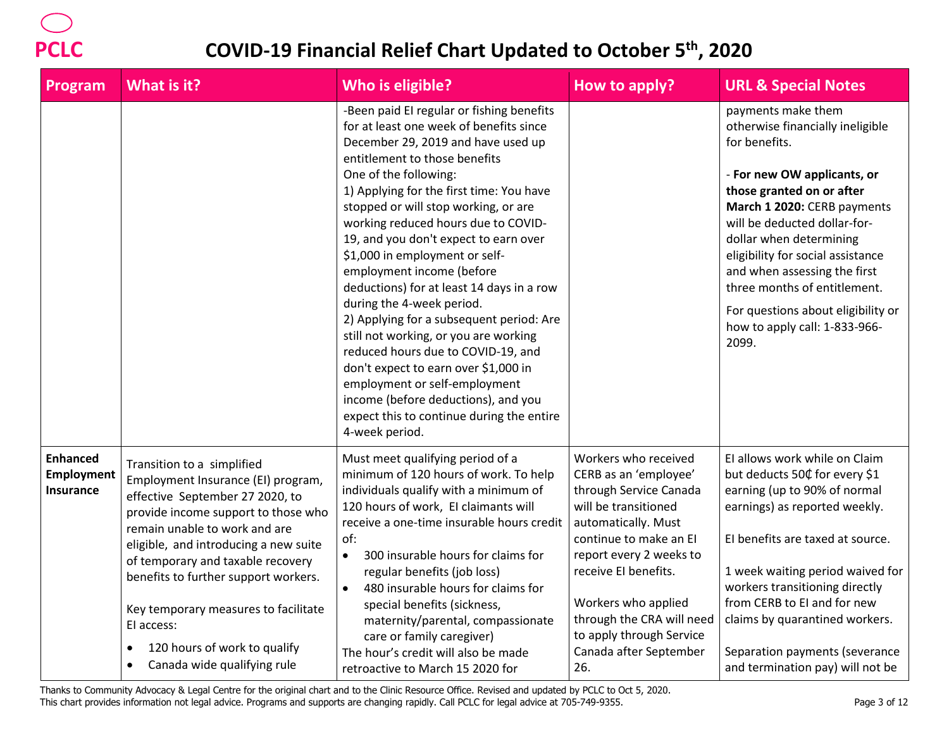|                                                   |                                                                                                                                                                                                                                                                                                                                                                                                                                     | Who is eligible?                                                                                                                                                                                                                                                                                                                                                                                                                                                                                                                                                                                                                                                                                                                                                                                            | How to apply?                                                                                                                                                                                                                                                                                                        | <b>URL &amp; Special Notes</b>                                                                                                                                                                                                                                                                                                                                                                                     |
|---------------------------------------------------|-------------------------------------------------------------------------------------------------------------------------------------------------------------------------------------------------------------------------------------------------------------------------------------------------------------------------------------------------------------------------------------------------------------------------------------|-------------------------------------------------------------------------------------------------------------------------------------------------------------------------------------------------------------------------------------------------------------------------------------------------------------------------------------------------------------------------------------------------------------------------------------------------------------------------------------------------------------------------------------------------------------------------------------------------------------------------------------------------------------------------------------------------------------------------------------------------------------------------------------------------------------|----------------------------------------------------------------------------------------------------------------------------------------------------------------------------------------------------------------------------------------------------------------------------------------------------------------------|--------------------------------------------------------------------------------------------------------------------------------------------------------------------------------------------------------------------------------------------------------------------------------------------------------------------------------------------------------------------------------------------------------------------|
|                                                   |                                                                                                                                                                                                                                                                                                                                                                                                                                     | -Been paid EI regular or fishing benefits<br>for at least one week of benefits since<br>December 29, 2019 and have used up<br>entitlement to those benefits<br>One of the following:<br>1) Applying for the first time: You have<br>stopped or will stop working, or are<br>working reduced hours due to COVID-<br>19, and you don't expect to earn over<br>\$1,000 in employment or self-<br>employment income (before<br>deductions) for at least 14 days in a row<br>during the 4-week period.<br>2) Applying for a subsequent period: Are<br>still not working, or you are working<br>reduced hours due to COVID-19, and<br>don't expect to earn over \$1,000 in<br>employment or self-employment<br>income (before deductions), and you<br>expect this to continue during the entire<br>4-week period. |                                                                                                                                                                                                                                                                                                                      | payments make them<br>otherwise financially ineligible<br>for benefits.<br>- For new OW applicants, or<br>those granted on or after<br>March 1 2020: CERB payments<br>will be deducted dollar-for-<br>dollar when determining<br>eligibility for social assistance<br>and when assessing the first<br>three months of entitlement.<br>For questions about eligibility or<br>how to apply call: 1-833-966-<br>2099. |
| <b>Enhanced</b><br><b>Employment</b><br>Insurance | Transition to a simplified<br>Employment Insurance (EI) program,<br>effective September 27 2020, to<br>provide income support to those who<br>remain unable to work and are<br>eligible, and introducing a new suite<br>of temporary and taxable recovery<br>benefits to further support workers.<br>Key temporary measures to facilitate<br>El access:<br>120 hours of work to qualify<br>$\bullet$<br>Canada wide qualifying rule | Must meet qualifying period of a<br>minimum of 120 hours of work. To help<br>individuals qualify with a minimum of<br>120 hours of work, El claimants will<br>receive a one-time insurable hours credit<br>of:<br>300 insurable hours for claims for<br>$\bullet$<br>regular benefits (job loss)<br>480 insurable hours for claims for<br>$\bullet$<br>special benefits (sickness,<br>maternity/parental, compassionate<br>care or family caregiver)<br>The hour's credit will also be made<br>retroactive to March 15 2020 for                                                                                                                                                                                                                                                                             | Workers who received<br>CERB as an 'employee'<br>through Service Canada<br>will be transitioned<br>automatically. Must<br>continue to make an EI<br>report every 2 weeks to<br>receive EI benefits.<br>Workers who applied<br>through the CRA will need<br>to apply through Service<br>Canada after September<br>26. | El allows work while on Claim<br>but deducts 50¢ for every \$1<br>earning (up to 90% of normal<br>earnings) as reported weekly.<br>El benefits are taxed at source.<br>1 week waiting period waived for<br>workers transitioning directly<br>from CERB to EI and for new<br>claims by quarantined workers.<br>Separation payments (severance<br>and termination pay) will not be                                   |

Thanks to Community Advocacy & Legal Centre for the original chart and to the Clinic Resource Office. Revised and updated by PCLC to Oct 5, 2020. This chart provides information not legal advice. Programs and supports are changing rapidly. Call PCLC for legal advice at 705-749-9355. Page 3 of 12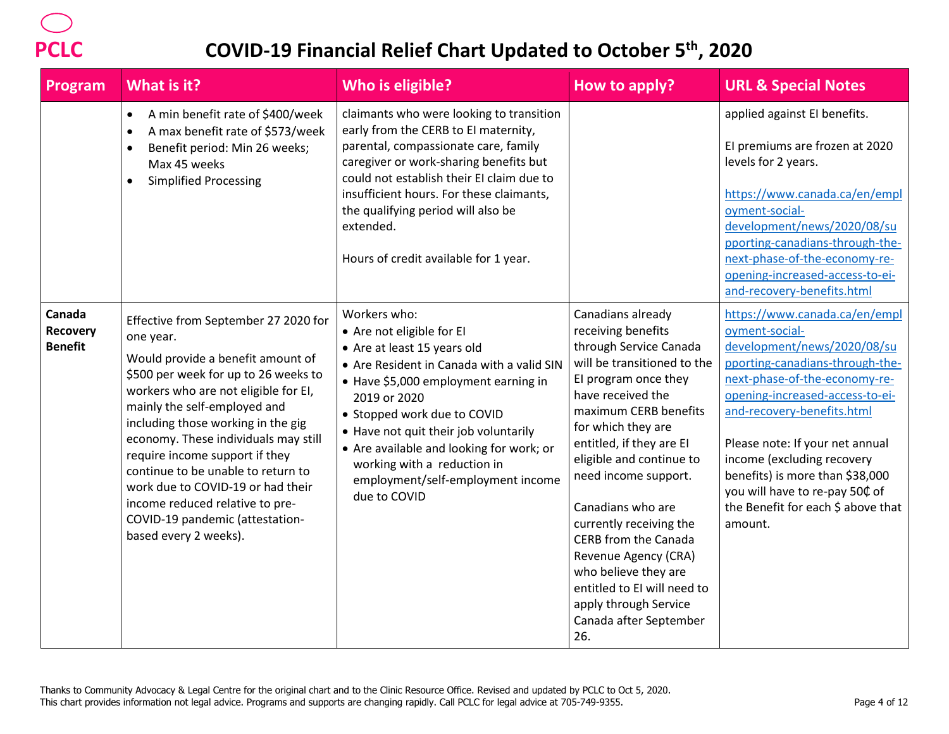| Program                                     | What is it?                                                                                                                                                                                                                                                                                                                                                                                                                                                                                      | Who is eligible?                                                                                                                                                                                                                                                                                                                                                                      | How to apply?                                                                                                                                                                                                                                                                                                                                                                                                                                                                                        | <b>URL &amp; Special Notes</b>                                                                                                                                                                                                                                                                                                                                                                             |
|---------------------------------------------|--------------------------------------------------------------------------------------------------------------------------------------------------------------------------------------------------------------------------------------------------------------------------------------------------------------------------------------------------------------------------------------------------------------------------------------------------------------------------------------------------|---------------------------------------------------------------------------------------------------------------------------------------------------------------------------------------------------------------------------------------------------------------------------------------------------------------------------------------------------------------------------------------|------------------------------------------------------------------------------------------------------------------------------------------------------------------------------------------------------------------------------------------------------------------------------------------------------------------------------------------------------------------------------------------------------------------------------------------------------------------------------------------------------|------------------------------------------------------------------------------------------------------------------------------------------------------------------------------------------------------------------------------------------------------------------------------------------------------------------------------------------------------------------------------------------------------------|
|                                             | A min benefit rate of \$400/week<br>$\bullet$<br>A max benefit rate of \$573/week<br>$\bullet$<br>Benefit period: Min 26 weeks;<br>$\bullet$<br>Max 45 weeks<br><b>Simplified Processing</b><br>$\bullet$                                                                                                                                                                                                                                                                                        | claimants who were looking to transition<br>early from the CERB to El maternity,<br>parental, compassionate care, family<br>caregiver or work-sharing benefits but<br>could not establish their EI claim due to<br>insufficient hours. For these claimants,<br>the qualifying period will also be<br>extended.<br>Hours of credit available for 1 year.                               |                                                                                                                                                                                                                                                                                                                                                                                                                                                                                                      | applied against EI benefits.<br>El premiums are frozen at 2020<br>levels for 2 years.<br>https://www.canada.ca/en/empl<br>oyment-social-<br>development/news/2020/08/su<br>pporting-canadians-through-the-<br>next-phase-of-the-economy-re-<br>opening-increased-access-to-ei-<br>and-recovery-benefits.html                                                                                               |
| Canada<br><b>Recovery</b><br><b>Benefit</b> | Effective from September 27 2020 for<br>one year.<br>Would provide a benefit amount of<br>\$500 per week for up to 26 weeks to<br>workers who are not eligible for EI,<br>mainly the self-employed and<br>including those working in the gig<br>economy. These individuals may still<br>require income support if they<br>continue to be unable to return to<br>work due to COVID-19 or had their<br>income reduced relative to pre-<br>COVID-19 pandemic (attestation-<br>based every 2 weeks). | Workers who:<br>• Are not eligible for El<br>• Are at least 15 years old<br>• Are Resident in Canada with a valid SIN<br>• Have \$5,000 employment earning in<br>2019 or 2020<br>• Stopped work due to COVID<br>• Have not quit their job voluntarily<br>• Are available and looking for work; or<br>working with a reduction in<br>employment/self-employment income<br>due to COVID | Canadians already<br>receiving benefits<br>through Service Canada<br>will be transitioned to the<br>El program once they<br>have received the<br>maximum CERB benefits<br>for which they are<br>entitled, if they are EI<br>eligible and continue to<br>need income support.<br>Canadians who are<br>currently receiving the<br><b>CERB</b> from the Canada<br>Revenue Agency (CRA)<br>who believe they are<br>entitled to EI will need to<br>apply through Service<br>Canada after September<br>26. | https://www.canada.ca/en/empl<br>oyment-social-<br>development/news/2020/08/su<br>pporting-canadians-through-the-<br>next-phase-of-the-economy-re-<br>opening-increased-access-to-ei-<br>and-recovery-benefits.html<br>Please note: If your net annual<br>income (excluding recovery<br>benefits) is more than \$38,000<br>you will have to re-pay 50¢ of<br>the Benefit for each \$ above that<br>amount. |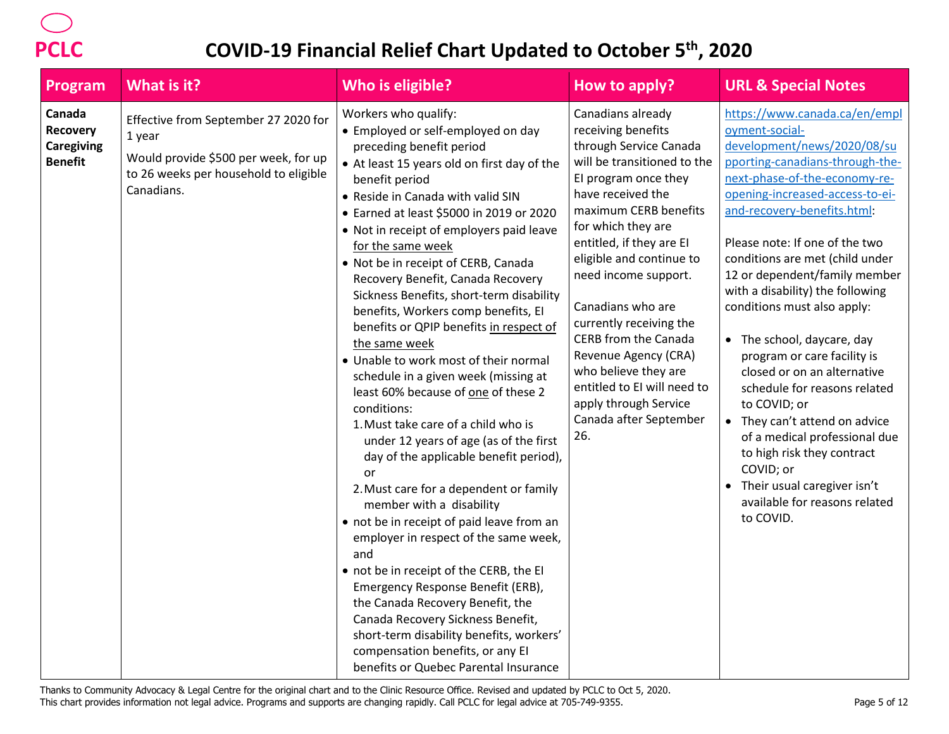| Program                                                          | What is it?                                                                                                                                   | Who is eligible?                                                                                                                                                                                                                                                                                                                                                                                                                                                                                                                                                                                                                                                                                                                                                                                                                                                                                                                                                                                                                                                                                                                                                                                                                                                  | How to apply?                                                                                                                                                                                                                                                                                                                                                                                                                                                                                 | <b>URL &amp; Special Notes</b>                                                                                                                                                                                                                                                                                                                                                                                                                                                                                                                                                                                                                                                                                                    |
|------------------------------------------------------------------|-----------------------------------------------------------------------------------------------------------------------------------------------|-------------------------------------------------------------------------------------------------------------------------------------------------------------------------------------------------------------------------------------------------------------------------------------------------------------------------------------------------------------------------------------------------------------------------------------------------------------------------------------------------------------------------------------------------------------------------------------------------------------------------------------------------------------------------------------------------------------------------------------------------------------------------------------------------------------------------------------------------------------------------------------------------------------------------------------------------------------------------------------------------------------------------------------------------------------------------------------------------------------------------------------------------------------------------------------------------------------------------------------------------------------------|-----------------------------------------------------------------------------------------------------------------------------------------------------------------------------------------------------------------------------------------------------------------------------------------------------------------------------------------------------------------------------------------------------------------------------------------------------------------------------------------------|-----------------------------------------------------------------------------------------------------------------------------------------------------------------------------------------------------------------------------------------------------------------------------------------------------------------------------------------------------------------------------------------------------------------------------------------------------------------------------------------------------------------------------------------------------------------------------------------------------------------------------------------------------------------------------------------------------------------------------------|
| Canada<br><b>Recovery</b><br><b>Caregiving</b><br><b>Benefit</b> | Effective from September 27 2020 for<br>1 year<br>Would provide \$500 per week, for up<br>to 26 weeks per household to eligible<br>Canadians. | Workers who qualify:<br>• Employed or self-employed on day<br>preceding benefit period<br>• At least 15 years old on first day of the<br>benefit period<br>• Reside in Canada with valid SIN<br>• Earned at least \$5000 in 2019 or 2020<br>• Not in receipt of employers paid leave<br>for the same week<br>• Not be in receipt of CERB, Canada<br>Recovery Benefit, Canada Recovery<br>Sickness Benefits, short-term disability<br>benefits, Workers comp benefits, EI<br>benefits or QPIP benefits in respect of<br>the same week<br>• Unable to work most of their normal<br>schedule in a given week (missing at<br>least 60% because of one of these 2<br>conditions:<br>1. Must take care of a child who is<br>under 12 years of age (as of the first<br>day of the applicable benefit period),<br>or<br>2. Must care for a dependent or family<br>member with a disability<br>• not be in receipt of paid leave from an<br>employer in respect of the same week,<br>and<br>• not be in receipt of the CERB, the EI<br>Emergency Response Benefit (ERB),<br>the Canada Recovery Benefit, the<br>Canada Recovery Sickness Benefit,<br>short-term disability benefits, workers'<br>compensation benefits, or any EI<br>benefits or Quebec Parental Insurance | Canadians already<br>receiving benefits<br>through Service Canada<br>will be transitioned to the<br>El program once they<br>have received the<br>maximum CERB benefits<br>for which they are<br>entitled, if they are EI<br>eligible and continue to<br>need income support.<br>Canadians who are<br>currently receiving the<br>CERB from the Canada<br>Revenue Agency (CRA)<br>who believe they are<br>entitled to EI will need to<br>apply through Service<br>Canada after September<br>26. | https://www.canada.ca/en/empl<br>oyment-social-<br>development/news/2020/08/su<br>pporting-canadians-through-the-<br>next-phase-of-the-economy-re-<br>opening-increased-access-to-ei-<br>and-recovery-benefits.html:<br>Please note: If one of the two<br>conditions are met (child under<br>12 or dependent/family member<br>with a disability) the following<br>conditions must also apply:<br>• The school, daycare, day<br>program or care facility is<br>closed or on an alternative<br>schedule for reasons related<br>to COVID; or<br>They can't attend on advice<br>of a medical professional due<br>to high risk they contract<br>COVID; or<br>Their usual caregiver isn't<br>available for reasons related<br>to COVID. |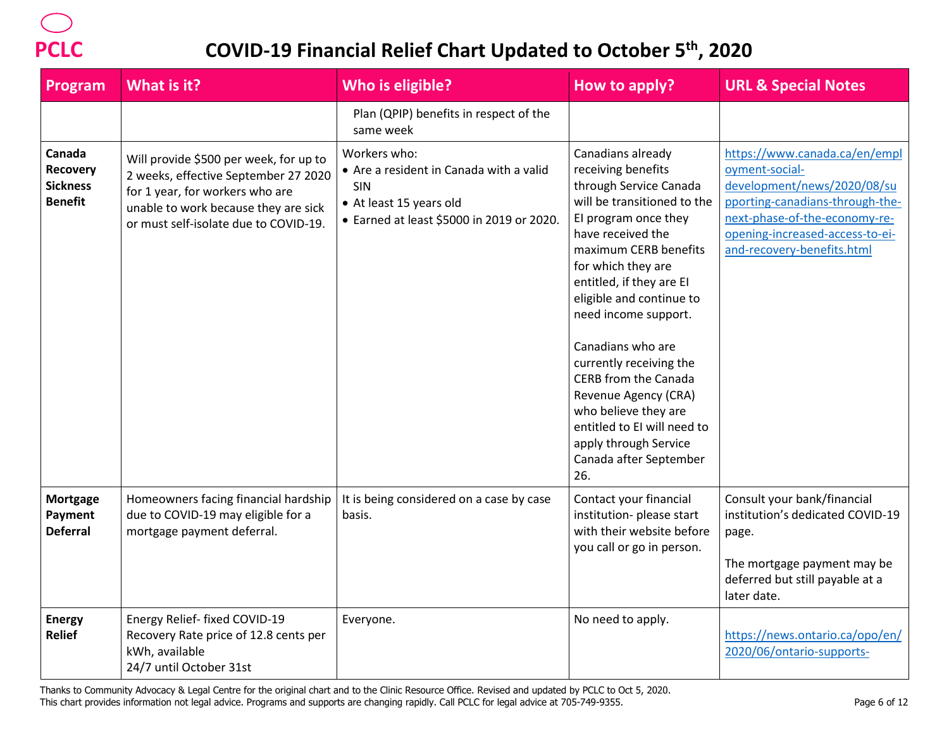| Program                                                        | What is it?                                                                                                                                                                                        | Who is eligible?                                                                                                                       | How to apply?                                                                                                                                                                                                                                                                                                                                                                                                                                                                                        | <b>URL &amp; Special Notes</b>                                                                                                                                                                                      |
|----------------------------------------------------------------|----------------------------------------------------------------------------------------------------------------------------------------------------------------------------------------------------|----------------------------------------------------------------------------------------------------------------------------------------|------------------------------------------------------------------------------------------------------------------------------------------------------------------------------------------------------------------------------------------------------------------------------------------------------------------------------------------------------------------------------------------------------------------------------------------------------------------------------------------------------|---------------------------------------------------------------------------------------------------------------------------------------------------------------------------------------------------------------------|
|                                                                |                                                                                                                                                                                                    | Plan (QPIP) benefits in respect of the<br>same week                                                                                    |                                                                                                                                                                                                                                                                                                                                                                                                                                                                                                      |                                                                                                                                                                                                                     |
| Canada<br><b>Recovery</b><br><b>Sickness</b><br><b>Benefit</b> | Will provide \$500 per week, for up to<br>2 weeks, effective September 27 2020<br>for 1 year, for workers who are<br>unable to work because they are sick<br>or must self-isolate due to COVID-19. | Workers who:<br>• Are a resident in Canada with a valid<br>SIN<br>• At least 15 years old<br>• Earned at least \$5000 in 2019 or 2020. | Canadians already<br>receiving benefits<br>through Service Canada<br>will be transitioned to the<br>El program once they<br>have received the<br>maximum CERB benefits<br>for which they are<br>entitled, if they are EI<br>eligible and continue to<br>need income support.<br>Canadians who are<br>currently receiving the<br><b>CERB</b> from the Canada<br>Revenue Agency (CRA)<br>who believe they are<br>entitled to EI will need to<br>apply through Service<br>Canada after September<br>26. | https://www.canada.ca/en/empl<br>oyment-social-<br>development/news/2020/08/su<br>pporting-canadians-through-the-<br>next-phase-of-the-economy-re-<br>opening-increased-access-to-ei-<br>and-recovery-benefits.html |
| <b>Mortgage</b><br>Payment<br><b>Deferral</b>                  | Homeowners facing financial hardship<br>due to COVID-19 may eligible for a<br>mortgage payment deferral.                                                                                           | It is being considered on a case by case<br>basis.                                                                                     | Contact your financial<br>institution- please start<br>with their website before<br>you call or go in person.                                                                                                                                                                                                                                                                                                                                                                                        | Consult your bank/financial<br>institution's dedicated COVID-19<br>page.<br>The mortgage payment may be<br>deferred but still payable at a<br>later date.                                                           |
| <b>Energy</b><br><b>Relief</b>                                 | Energy Relief- fixed COVID-19<br>Recovery Rate price of 12.8 cents per<br>kWh, available<br>24/7 until October 31st                                                                                | Everyone.                                                                                                                              | No need to apply.                                                                                                                                                                                                                                                                                                                                                                                                                                                                                    | https://news.ontario.ca/opo/en/<br>2020/06/ontario-supports-                                                                                                                                                        |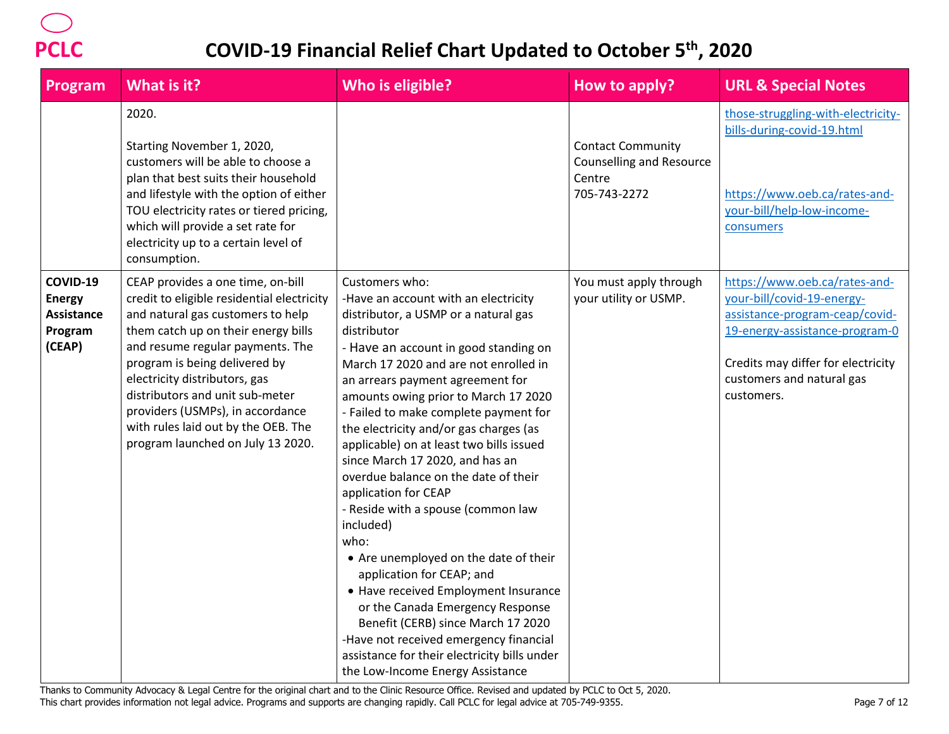| Program                                                      | What is it?                                                                                                                                                                                                                                                                                                                                                                                                          | Who is eligible?                                                                                                                                                                                                                                                                                                                                                                                                                                                                                                                                                                                                                                                                                                                                                                                                                                                                               | How to apply?                                                                         | <b>URL &amp; Special Notes</b>                                                                                                                                                                                   |
|--------------------------------------------------------------|----------------------------------------------------------------------------------------------------------------------------------------------------------------------------------------------------------------------------------------------------------------------------------------------------------------------------------------------------------------------------------------------------------------------|------------------------------------------------------------------------------------------------------------------------------------------------------------------------------------------------------------------------------------------------------------------------------------------------------------------------------------------------------------------------------------------------------------------------------------------------------------------------------------------------------------------------------------------------------------------------------------------------------------------------------------------------------------------------------------------------------------------------------------------------------------------------------------------------------------------------------------------------------------------------------------------------|---------------------------------------------------------------------------------------|------------------------------------------------------------------------------------------------------------------------------------------------------------------------------------------------------------------|
|                                                              | 2020.<br>Starting November 1, 2020,<br>customers will be able to choose a<br>plan that best suits their household<br>and lifestyle with the option of either<br>TOU electricity rates or tiered pricing,<br>which will provide a set rate for<br>electricity up to a certain level of<br>consumption.                                                                                                                |                                                                                                                                                                                                                                                                                                                                                                                                                                                                                                                                                                                                                                                                                                                                                                                                                                                                                                | <b>Contact Community</b><br><b>Counselling and Resource</b><br>Centre<br>705-743-2272 | those-struggling-with-electricity-<br>bills-during-covid-19.html<br>https://www.oeb.ca/rates-and-<br>your-bill/help-low-income-<br>consumers                                                                     |
| COVID-19<br><b>Energy</b><br>Assistance<br>Program<br>(CEAP) | CEAP provides a one time, on-bill<br>credit to eligible residential electricity<br>and natural gas customers to help<br>them catch up on their energy bills<br>and resume regular payments. The<br>program is being delivered by<br>electricity distributors, gas<br>distributors and unit sub-meter<br>providers (USMPs), in accordance<br>with rules laid out by the OEB. The<br>program launched on July 13 2020. | Customers who:<br>-Have an account with an electricity<br>distributor, a USMP or a natural gas<br>distributor<br>- Have an account in good standing on<br>March 17 2020 and are not enrolled in<br>an arrears payment agreement for<br>amounts owing prior to March 17 2020<br>- Failed to make complete payment for<br>the electricity and/or gas charges (as<br>applicable) on at least two bills issued<br>since March 17 2020, and has an<br>overdue balance on the date of their<br>application for CEAP<br>- Reside with a spouse (common law<br>included)<br>who:<br>• Are unemployed on the date of their<br>application for CEAP; and<br>• Have received Employment Insurance<br>or the Canada Emergency Response<br>Benefit (CERB) since March 17 2020<br>-Have not received emergency financial<br>assistance for their electricity bills under<br>the Low-Income Energy Assistance | You must apply through<br>your utility or USMP.                                       | https://www.oeb.ca/rates-and-<br>your-bill/covid-19-energy-<br>assistance-program-ceap/covid-<br>19-energy-assistance-program-0<br>Credits may differ for electricity<br>customers and natural gas<br>customers. |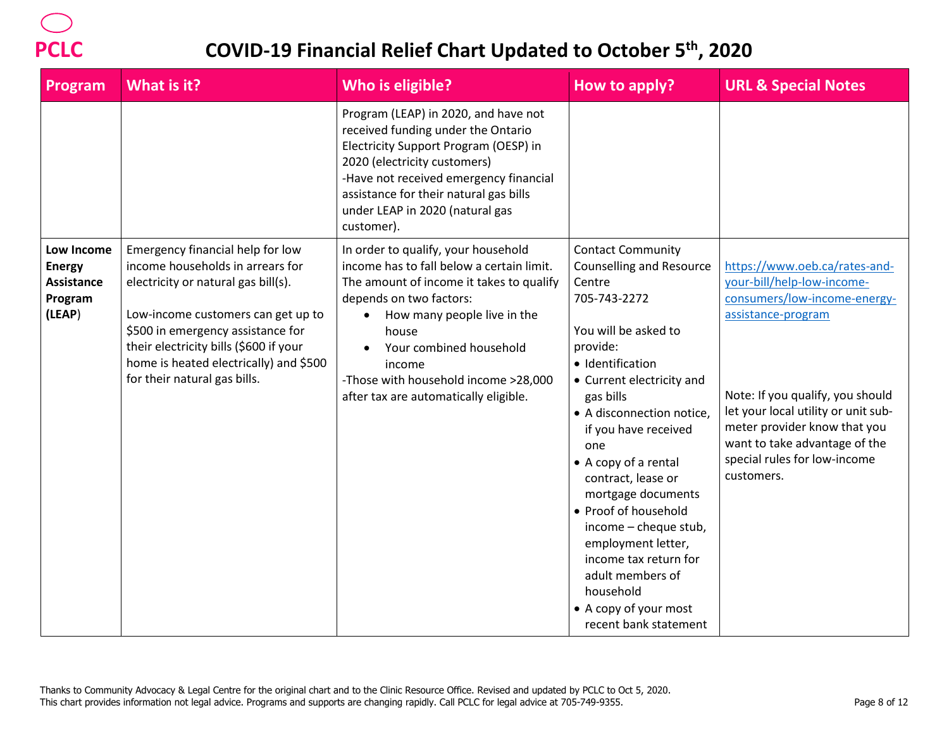

| Program                                                               | What is it?                                                                                                                                                                                                                                                                                                | Who is eligible?                                                                                                                                                                                                                                                                                                      | How to apply?                                                                                                                                                                                                                                                                                                                                                                                                                                                                                              | <b>URL &amp; Special Notes</b>                                                                                                                                                                                                                                                                              |
|-----------------------------------------------------------------------|------------------------------------------------------------------------------------------------------------------------------------------------------------------------------------------------------------------------------------------------------------------------------------------------------------|-----------------------------------------------------------------------------------------------------------------------------------------------------------------------------------------------------------------------------------------------------------------------------------------------------------------------|------------------------------------------------------------------------------------------------------------------------------------------------------------------------------------------------------------------------------------------------------------------------------------------------------------------------------------------------------------------------------------------------------------------------------------------------------------------------------------------------------------|-------------------------------------------------------------------------------------------------------------------------------------------------------------------------------------------------------------------------------------------------------------------------------------------------------------|
|                                                                       |                                                                                                                                                                                                                                                                                                            | Program (LEAP) in 2020, and have not<br>received funding under the Ontario<br>Electricity Support Program (OESP) in<br>2020 (electricity customers)<br>-Have not received emergency financial<br>assistance for their natural gas bills<br>under LEAP in 2020 (natural gas<br>customer).                              |                                                                                                                                                                                                                                                                                                                                                                                                                                                                                                            |                                                                                                                                                                                                                                                                                                             |
| Low Income<br><b>Energy</b><br><b>Assistance</b><br>Program<br>(LEAP) | Emergency financial help for low<br>income households in arrears for<br>electricity or natural gas bill(s).<br>Low-income customers can get up to<br>\$500 in emergency assistance for<br>their electricity bills (\$600 if your<br>home is heated electrically) and \$500<br>for their natural gas bills. | In order to qualify, your household<br>income has to fall below a certain limit.<br>The amount of income it takes to qualify<br>depends on two factors:<br>How many people live in the<br>house<br>Your combined household<br>income<br>-Those with household income >28,000<br>after tax are automatically eligible. | <b>Contact Community</b><br><b>Counselling and Resource</b><br>Centre<br>705-743-2272<br>You will be asked to<br>provide:<br>· Identification<br>• Current electricity and<br>gas bills<br>• A disconnection notice,<br>if you have received<br>one<br>• A copy of a rental<br>contract, lease or<br>mortgage documents<br>• Proof of household<br>income - cheque stub,<br>employment letter,<br>income tax return for<br>adult members of<br>household<br>• A copy of your most<br>recent bank statement | https://www.oeb.ca/rates-and-<br>your-bill/help-low-income-<br>consumers/low-income-energy-<br>assistance-program<br>Note: If you qualify, you should<br>let your local utility or unit sub-<br>meter provider know that you<br>want to take advantage of the<br>special rules for low-income<br>customers. |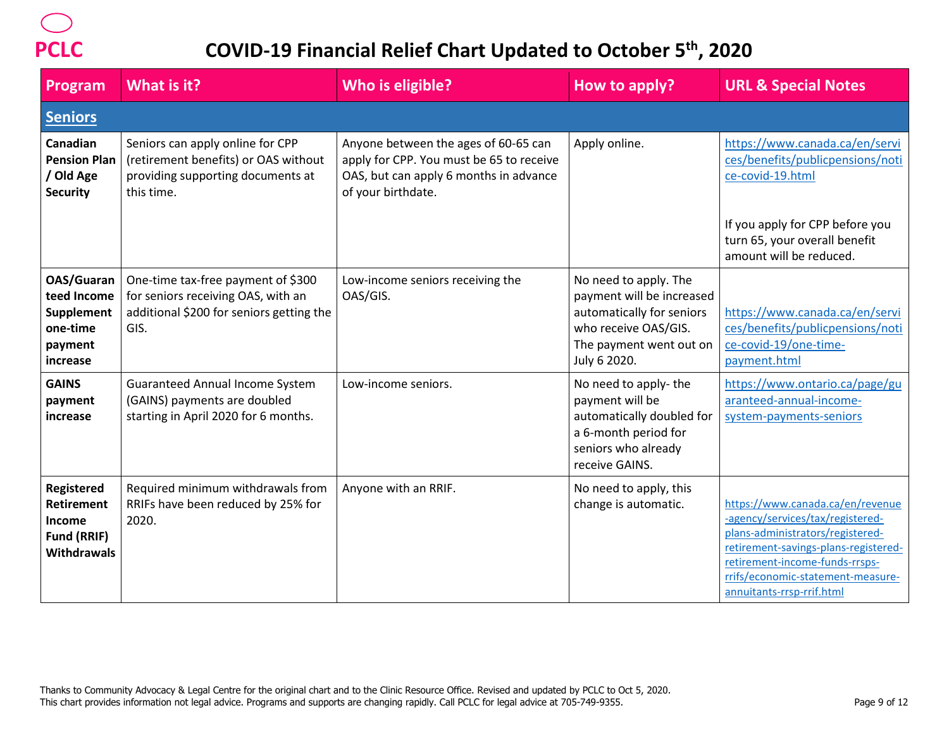

| Program                                                                           | What is it?                                                                                                                  | Who is eligible?                                                                                                                                 | How to apply?                                                                                                                                      | <b>URL &amp; Special Notes</b>                                                                                                                                                                                                                       |
|-----------------------------------------------------------------------------------|------------------------------------------------------------------------------------------------------------------------------|--------------------------------------------------------------------------------------------------------------------------------------------------|----------------------------------------------------------------------------------------------------------------------------------------------------|------------------------------------------------------------------------------------------------------------------------------------------------------------------------------------------------------------------------------------------------------|
| <b>Seniors</b>                                                                    |                                                                                                                              |                                                                                                                                                  |                                                                                                                                                    |                                                                                                                                                                                                                                                      |
| Canadian<br><b>Pension Plan</b><br>/ Old Age<br><b>Security</b>                   | Seniors can apply online for CPP<br>(retirement benefits) or OAS without<br>providing supporting documents at<br>this time.  | Anyone between the ages of 60-65 can<br>apply for CPP. You must be 65 to receive<br>OAS, but can apply 6 months in advance<br>of your birthdate. | Apply online.                                                                                                                                      | https://www.canada.ca/en/servi<br>ces/benefits/publicpensions/noti<br>ce-covid-19.html<br>If you apply for CPP before you<br>turn 65, your overall benefit                                                                                           |
|                                                                                   |                                                                                                                              |                                                                                                                                                  |                                                                                                                                                    | amount will be reduced.                                                                                                                                                                                                                              |
| OAS/Guaran<br>teed Income<br><b>Supplement</b><br>one-time<br>payment<br>increase | One-time tax-free payment of \$300<br>for seniors receiving OAS, with an<br>additional \$200 for seniors getting the<br>GIS. | Low-income seniors receiving the<br>OAS/GIS.                                                                                                     | No need to apply. The<br>payment will be increased<br>automatically for seniors<br>who receive OAS/GIS.<br>The payment went out on<br>July 6 2020. | https://www.canada.ca/en/servi<br>ces/benefits/publicpensions/noti<br>ce-covid-19/one-time-<br>payment.html                                                                                                                                          |
| <b>GAINS</b><br>payment<br>increase                                               | Guaranteed Annual Income System<br>(GAINS) payments are doubled<br>starting in April 2020 for 6 months.                      | Low-income seniors.                                                                                                                              | No need to apply-the<br>payment will be<br>automatically doubled for<br>a 6-month period for<br>seniors who already<br>receive GAINS.              | https://www.ontario.ca/page/gu<br>aranteed-annual-income-<br>system-payments-seniors                                                                                                                                                                 |
| Registered<br><b>Retirement</b><br>Income<br>Fund (RRIF)<br><b>Withdrawals</b>    | Required minimum withdrawals from<br>RRIFs have been reduced by 25% for<br>2020.                                             | Anyone with an RRIF.                                                                                                                             | No need to apply, this<br>change is automatic.                                                                                                     | https://www.canada.ca/en/revenue<br>-agency/services/tax/registered-<br>plans-administrators/registered-<br>retirement-savings-plans-registered-<br>retirement-income-funds-rrsps-<br>rrifs/economic-statement-measure-<br>annuitants-rrsp-rrif.html |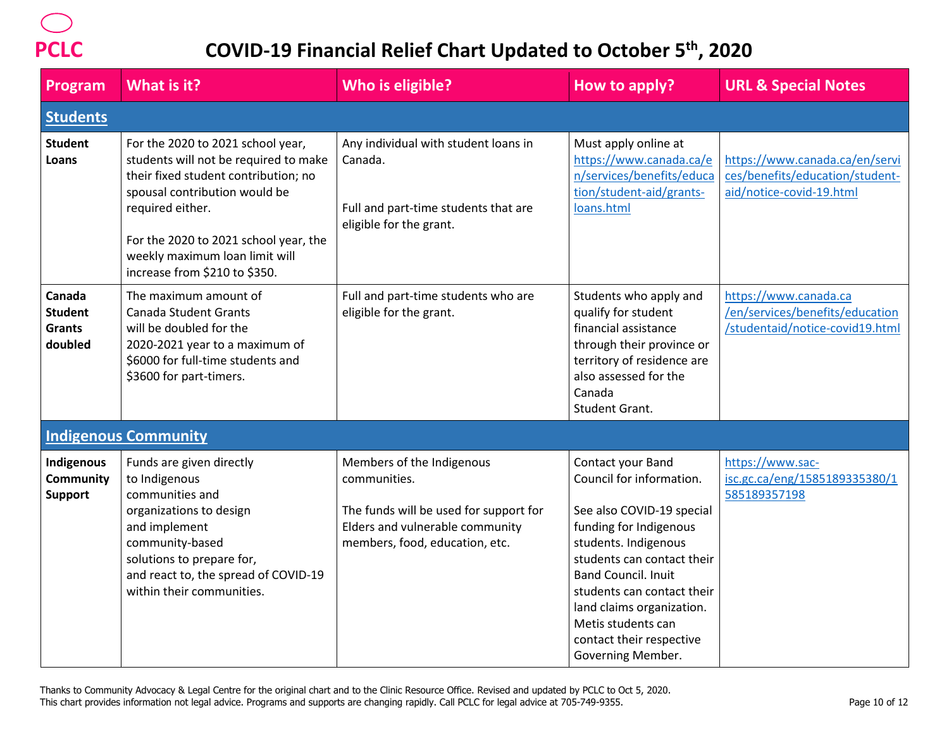| Program                                              | What is it?                                                                                                                                                                                                                                                                         | Who is eligible?                                                                                                                                         | How to apply?                                                                                                                                                                                                                                                                                                              | <b>URL &amp; Special Notes</b>                                                                |
|------------------------------------------------------|-------------------------------------------------------------------------------------------------------------------------------------------------------------------------------------------------------------------------------------------------------------------------------------|----------------------------------------------------------------------------------------------------------------------------------------------------------|----------------------------------------------------------------------------------------------------------------------------------------------------------------------------------------------------------------------------------------------------------------------------------------------------------------------------|-----------------------------------------------------------------------------------------------|
| <b>Students</b>                                      |                                                                                                                                                                                                                                                                                     |                                                                                                                                                          |                                                                                                                                                                                                                                                                                                                            |                                                                                               |
| <b>Student</b><br>Loans                              | For the 2020 to 2021 school year,<br>students will not be required to make<br>their fixed student contribution; no<br>spousal contribution would be<br>required either.<br>For the 2020 to 2021 school year, the<br>weekly maximum loan limit will<br>increase from \$210 to \$350. | Any individual with student loans in<br>Canada.<br>Full and part-time students that are<br>eligible for the grant.                                       | Must apply online at<br>https://www.canada.ca/e<br>n/services/benefits/educa<br>tion/student-aid/grants-<br>loans.html                                                                                                                                                                                                     | https://www.canada.ca/en/servi<br>ces/benefits/education/student-<br>aid/notice-covid-19.html |
| Canada<br><b>Student</b><br><b>Grants</b><br>doubled | The maximum amount of<br><b>Canada Student Grants</b><br>will be doubled for the<br>2020-2021 year to a maximum of<br>\$6000 for full-time students and<br>\$3600 for part-timers.                                                                                                  | Full and part-time students who are<br>eligible for the grant.                                                                                           | Students who apply and<br>qualify for student<br>financial assistance<br>through their province or<br>territory of residence are<br>also assessed for the<br>Canada<br>Student Grant.                                                                                                                                      | https://www.canada.ca<br>/en/services/benefits/education<br>/studentaid/notice-covid19.html   |
|                                                      | <b>Indigenous Community</b>                                                                                                                                                                                                                                                         |                                                                                                                                                          |                                                                                                                                                                                                                                                                                                                            |                                                                                               |
| Indigenous<br>Community<br><b>Support</b>            | Funds are given directly<br>to Indigenous<br>communities and<br>organizations to design<br>and implement<br>community-based<br>solutions to prepare for,<br>and react to, the spread of COVID-19<br>within their communities.                                                       | Members of the Indigenous<br>communities.<br>The funds will be used for support for<br>Elders and vulnerable community<br>members, food, education, etc. | Contact your Band<br>Council for information.<br>See also COVID-19 special<br>funding for Indigenous<br>students. Indigenous<br>students can contact their<br><b>Band Council. Inuit</b><br>students can contact their<br>land claims organization.<br>Metis students can<br>contact their respective<br>Governing Member. | https://www.sac-<br>isc.gc.ca/eng/1585189335380/1<br>585189357198                             |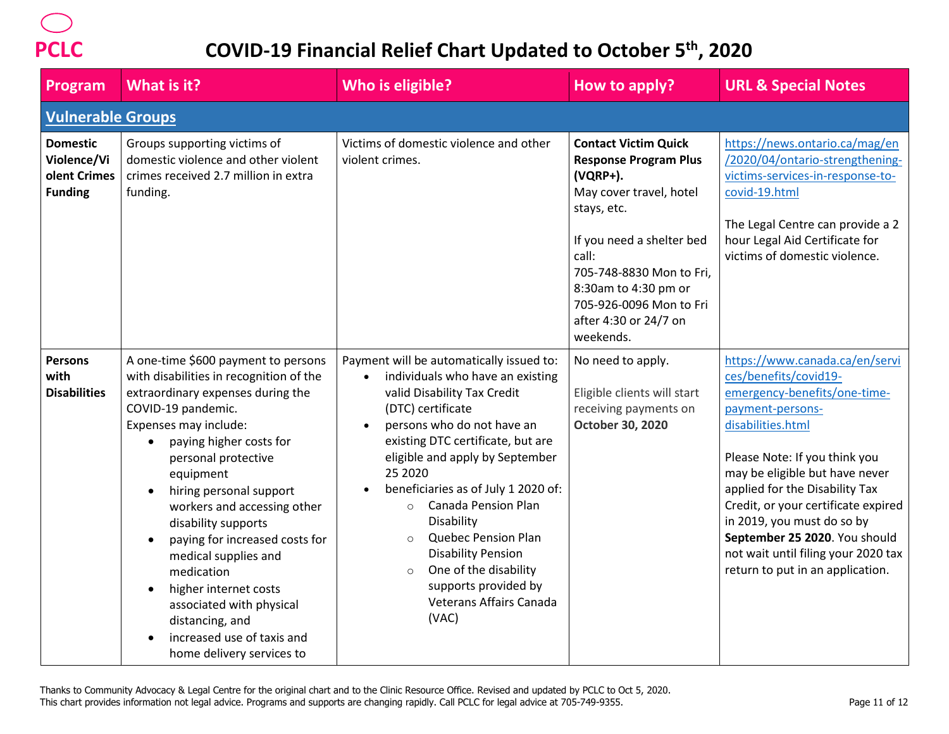| Program                                                          | What is it?                                                                                                                                                                                                                                                                                                                                                                                                                                                                                                                                                          | Who is eligible?                                                                                                                                                                                                                                                                                                                                                                                                                                                                                                                         | How to apply?                                                                                                                                                                                                                                                                | <b>URL &amp; Special Notes</b>                                                                                                                                                                                                                                                                                                                                                                                         |
|------------------------------------------------------------------|----------------------------------------------------------------------------------------------------------------------------------------------------------------------------------------------------------------------------------------------------------------------------------------------------------------------------------------------------------------------------------------------------------------------------------------------------------------------------------------------------------------------------------------------------------------------|------------------------------------------------------------------------------------------------------------------------------------------------------------------------------------------------------------------------------------------------------------------------------------------------------------------------------------------------------------------------------------------------------------------------------------------------------------------------------------------------------------------------------------------|------------------------------------------------------------------------------------------------------------------------------------------------------------------------------------------------------------------------------------------------------------------------------|------------------------------------------------------------------------------------------------------------------------------------------------------------------------------------------------------------------------------------------------------------------------------------------------------------------------------------------------------------------------------------------------------------------------|
| <b>Vulnerable Groups</b>                                         |                                                                                                                                                                                                                                                                                                                                                                                                                                                                                                                                                                      |                                                                                                                                                                                                                                                                                                                                                                                                                                                                                                                                          |                                                                                                                                                                                                                                                                              |                                                                                                                                                                                                                                                                                                                                                                                                                        |
| <b>Domestic</b><br>Violence/Vi<br>olent Crimes<br><b>Funding</b> | Groups supporting victims of<br>domestic violence and other violent<br>crimes received 2.7 million in extra<br>funding.                                                                                                                                                                                                                                                                                                                                                                                                                                              | Victims of domestic violence and other<br>violent crimes.                                                                                                                                                                                                                                                                                                                                                                                                                                                                                | <b>Contact Victim Quick</b><br><b>Response Program Plus</b><br>(VQRP+).<br>May cover travel, hotel<br>stays, etc.<br>If you need a shelter bed<br>call:<br>705-748-8830 Mon to Fri,<br>8:30am to 4:30 pm or<br>705-926-0096 Mon to Fri<br>after 4:30 or 24/7 on<br>weekends. | https://news.ontario.ca/mag/en<br>/2020/04/ontario-strengthening-<br>victims-services-in-response-to-<br>covid-19.html<br>The Legal Centre can provide a 2<br>hour Legal Aid Certificate for<br>victims of domestic violence.                                                                                                                                                                                          |
| <b>Persons</b><br>with<br><b>Disabilities</b>                    | A one-time \$600 payment to persons<br>with disabilities in recognition of the<br>extraordinary expenses during the<br>COVID-19 pandemic.<br>Expenses may include:<br>paying higher costs for<br>personal protective<br>equipment<br>hiring personal support<br>$\bullet$<br>workers and accessing other<br>disability supports<br>paying for increased costs for<br>$\bullet$<br>medical supplies and<br>medication<br>higher internet costs<br>$\bullet$<br>associated with physical<br>distancing, and<br>increased use of taxis and<br>home delivery services to | Payment will be automatically issued to:<br>individuals who have an existing<br>$\bullet$<br>valid Disability Tax Credit<br>(DTC) certificate<br>persons who do not have an<br>$\bullet$<br>existing DTC certificate, but are<br>eligible and apply by September<br>25 2020<br>beneficiaries as of July 1 2020 of:<br><b>Canada Pension Plan</b><br>$\circ$<br>Disability<br>Quebec Pension Plan<br>$\circ$<br><b>Disability Pension</b><br>One of the disability<br>$\circ$<br>supports provided by<br>Veterans Affairs Canada<br>(VAC) | No need to apply.<br>Eligible clients will start<br>receiving payments on<br>October 30, 2020                                                                                                                                                                                | https://www.canada.ca/en/servi<br>ces/benefits/covid19-<br>emergency-benefits/one-time-<br>payment-persons-<br>disabilities.html<br>Please Note: If you think you<br>may be eligible but have never<br>applied for the Disability Tax<br>Credit, or your certificate expired<br>in 2019, you must do so by<br>September 25 2020. You should<br>not wait until filing your 2020 tax<br>return to put in an application. |